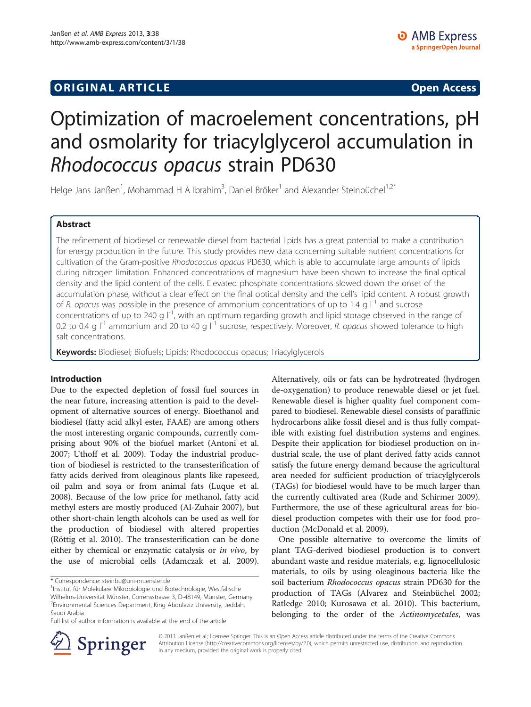## **ORIGINAL ARTICLE CONSUMING A LIGACION CONSUMING A LIGACION CONSUMING A LIGACION**

# Optimization of macroelement concentrations, pH and osmolarity for triacylglycerol accumulation in Rhodococcus opacus strain PD630

Helge Jans Janßen<sup>1</sup>, Mohammad H A Ibrahim<sup>3</sup>, Daniel Bröker<sup>1</sup> and Alexander Steinbüchel<sup>1,2\*</sup>

## Abstract

The refinement of biodiesel or renewable diesel from bacterial lipids has a great potential to make a contribution for energy production in the future. This study provides new data concerning suitable nutrient concentrations for cultivation of the Gram-positive Rhodococcus opacus PD630, which is able to accumulate large amounts of lipids during nitrogen limitation. Enhanced concentrations of magnesium have been shown to increase the final optical density and the lipid content of the cells. Elevated phosphate concentrations slowed down the onset of the accumulation phase, without a clear effect on the final optical density and the cell's lipid content. A robust growth of R. opacus was possible in the presence of ammonium concentrations of up to 1.4 g  $\vert$ <sup>-1</sup> and sucrose concentrations of up to 240 g  $I<sup>-1</sup>$ , with an optimum regarding growth and lipid storage observed in the range of 0.2 to 0.4 g  $I^{-1}$  ammonium and 20 to 40 g  $I^{-1}$  sucrose, respectively. Moreover, R. opacus showed tolerance to high salt concentrations.

Keywords: Biodiesel; Biofuels; Lipids; Rhodococcus opacus; Triacylglycerols

## Introduction

Due to the expected depletion of fossil fuel sources in the near future, increasing attention is paid to the development of alternative sources of energy. Bioethanol and biodiesel (fatty acid alkyl ester, FAAE) are among others the most interesting organic compounds, currently comprising about 90% of the biofuel market (Antoni et al. [2007](#page-6-0); Uthoff et al. [2009](#page-7-0)). Today the industrial production of biodiesel is restricted to the transesterification of fatty acids derived from oleaginous plants like rapeseed, oil palm and soya or from animal fats (Luque et al. [2008](#page-6-0)). Because of the low price for methanol, fatty acid methyl esters are mostly produced (Al-Zuhair [2007](#page-6-0)), but other short-chain length alcohols can be used as well for the production of biodiesel with altered properties (Röttig et al. [2010\)](#page-7-0). The transesterification can be done either by chemical or enzymatic catalysis or *in vivo*, by the use of microbial cells (Adamczak et al. [2009](#page-6-0)).

Alternatively, oils or fats can be hydrotreated (hydrogen de-oxygenation) to produce renewable diesel or jet fuel. Renewable diesel is higher quality fuel component compared to biodiesel. Renewable diesel consists of paraffinic hydrocarbons alike fossil diesel and is thus fully compatible with existing fuel distribution systems and engines. Despite their application for biodiesel production on industrial scale, the use of plant derived fatty acids cannot satisfy the future energy demand because the agricultural area needed for sufficient production of triacylglycerols (TAGs) for biodiesel would have to be much larger than the currently cultivated area (Rude and Schirmer [2009](#page-7-0)). Furthermore, the use of these agricultural areas for biodiesel production competes with their use for food production (McDonald et al. [2009\)](#page-6-0).

One possible alternative to overcome the limits of plant TAG-derived biodiesel production is to convert abundant waste and residue materials, e.g. lignocellulosic materials, to oils by using oleaginous bacteria like the soil bacterium Rhodococcus opacus strain PD630 for the production of TAGs (Alvarez and Steinbüchel [2002](#page-6-0); Ratledge [2010](#page-7-0); Kurosawa et al. [2010](#page-6-0)). This bacterium, belonging to the order of the Actinomycetales, was



© 2013 Janßen et al.; licensee Springer. This is an Open Access article distributed under the terms of the Creative Commons Attribution License [\(http://creativecommons.org/licenses/by/2.0\)](http://creativecommons.org/licenses/by/2.0), which permits unrestricted use, distribution, and reproduction in any medium, provided the original work is properly cited.

<sup>\*</sup> Correspondence: [steinbu@uni-muenster.de](mailto:steinbu@uni-muenster.de) <sup>1</sup>

<sup>&</sup>lt;sup>1</sup>Institut für Molekulare Mikrobiologie und Biotechnologie, Westfälische Wilhelms-Universität Münster, Corrensstrasse 3, D-48149, Münster, Germany <sup>2</sup> Environmental Sciences Department, King Abdulaziz University, Jeddah, Saudi Arabia

Full list of author information is available at the end of the article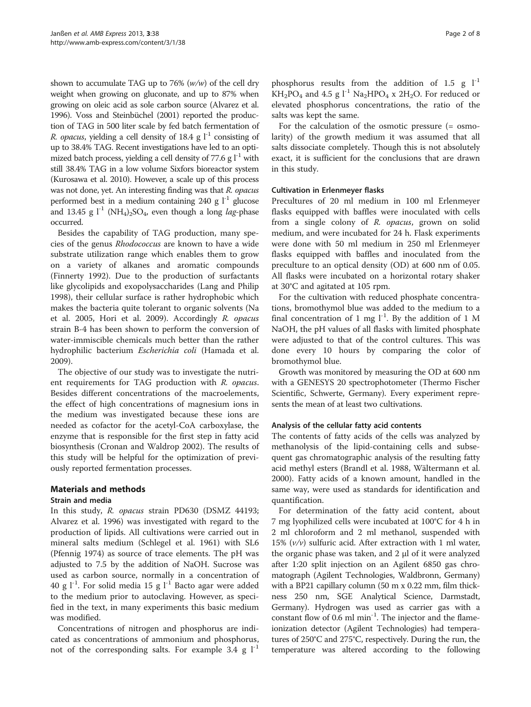shown to accumulate TAG up to 76%  $(w/w)$  of the cell dry weight when growing on gluconate, and up to 87% when growing on oleic acid as sole carbon source (Alvarez et al. [1996\)](#page-6-0). Voss and Steinbüchel [\(2001\)](#page-7-0) reported the production of TAG in 500 liter scale by fed batch fermentation of *R. opacus, yielding a cell density of 18.4 g*  $l^{-1}$  consisting of up to 38.4% TAG. Recent investigations have led to an optimized batch process, yielding a cell density of 77.6 g  $l^{-1}$  with still 38.4% TAG in a low volume Sixfors bioreactor system (Kurosawa et al. [2010\)](#page-6-0). However, a scale up of this process was not done, yet. An interesting finding was that R. opacus performed best in a medium containing 240 g  $1^{-1}$  glucose and 13.45 g  $l^{-1}$  (NH<sub>4</sub>)<sub>2</sub>SO<sub>4</sub>, even though a long *lag*-phase occurred.

Besides the capability of TAG production, many species of the genus Rhodococcus are known to have a wide substrate utilization range which enables them to grow on a variety of alkanes and aromatic compounds (Finnerty [1992\)](#page-6-0). Due to the production of surfactants like glycolipids and exopolysaccharides (Lang and Philip [1998](#page-6-0)), their cellular surface is rather hydrophobic which makes the bacteria quite tolerant to organic solvents (Na et al. [2005](#page-6-0), Hori et al. [2009\)](#page-6-0). Accordingly R. opacus strain B-4 has been shown to perform the conversion of water-immiscible chemicals much better than the rather hydrophilic bacterium Escherichia coli (Hamada et al. [2009](#page-6-0)).

The objective of our study was to investigate the nutrient requirements for TAG production with R. opacus. Besides different concentrations of the macroelements, the effect of high concentrations of magnesium ions in the medium was investigated because these ions are needed as cofactor for the acetyl-CoA carboxylase, the enzyme that is responsible for the first step in fatty acid biosynthesis (Cronan and Waldrop [2002](#page-6-0)). The results of this study will be helpful for the optimization of previously reported fermentation processes.

## Materials and methods

## Strain and media

In this study, R. opacus strain PD630 (DSMZ 44193; Alvarez et al. [1996](#page-6-0)) was investigated with regard to the production of lipids. All cultivations were carried out in mineral salts medium (Schlegel et al. [1961\)](#page-7-0) with SL6 (Pfennig [1974\)](#page-6-0) as source of trace elements. The pH was adjusted to 7.5 by the addition of NaOH. Sucrose was used as carbon source, normally in a concentration of 40 g  $1^{-1}$ . For solid media 15 g  $1^{-1}$  Bacto agar were added to the medium prior to autoclaving. However, as specified in the text, in many experiments this basic medium was modified.

Concentrations of nitrogen and phosphorus are indicated as concentrations of ammonium and phosphorus, not of the corresponding salts. For example 3.4 g  $1^{-1}$ 

phosphorus results from the addition of 1.5 g  $1^{-1}$  $KH_2PO_4$  and 4.5 g  $l^{-1}$  Na<sub>2</sub>HPO<sub>4</sub> x 2H<sub>2</sub>O. For reduced or elevated phosphorus concentrations, the ratio of the salts was kept the same.

For the calculation of the osmotic pressure (= osmolarity) of the growth medium it was assumed that all salts dissociate completely. Though this is not absolutely exact, it is sufficient for the conclusions that are drawn in this study.

## Cultivation in Erlenmeyer flasks

Precultures of 20 ml medium in 100 ml Erlenmeyer flasks equipped with baffles were inoculated with cells from a single colony of R. opacus, grown on solid medium, and were incubated for 24 h. Flask experiments were done with 50 ml medium in 250 ml Erlenmeyer flasks equipped with baffles and inoculated from the preculture to an optical density (OD) at 600 nm of 0.05. All flasks were incubated on a horizontal rotary shaker at 30°C and agitated at 105 rpm.

For the cultivation with reduced phosphate concentrations, bromothymol blue was added to the medium to a final concentration of 1 mg  $l^{-1}$ . By the addition of 1 M NaOH, the pH values of all flasks with limited phosphate were adjusted to that of the control cultures. This was done every 10 hours by comparing the color of bromothymol blue.

Growth was monitored by measuring the OD at 600 nm with a GENESYS 20 spectrophotometer (Thermo Fischer Scientific, Schwerte, Germany). Every experiment represents the mean of at least two cultivations.

## Analysis of the cellular fatty acid contents

The contents of fatty acids of the cells was analyzed by methanolysis of the lipid-containing cells and subsequent gas chromatographic analysis of the resulting fatty acid methyl esters (Brandl et al. [1988,](#page-6-0) Wältermann et al. [2000](#page-7-0)). Fatty acids of a known amount, handled in the same way, were used as standards for identification and quantification.

For determination of the fatty acid content, about 7 mg lyophilized cells were incubated at 100°C for 4 h in 2 ml chloroform and 2 ml methanol, suspended with 15%  $(v/v)$  sulfuric acid. After extraction with 1 ml water, the organic phase was taken, and 2 μl of it were analyzed after 1:20 split injection on an Agilent 6850 gas chromatograph (Agilent Technologies, Waldbronn, Germany) with a BP21 capillary column (50 m x 0.22 mm, film thickness 250 nm, SGE Analytical Science, Darmstadt, Germany). Hydrogen was used as carrier gas with a constant flow of 0.6 ml min<sup>-1</sup>. The injector and the flameionization detector (Agilent Technologies) had temperatures of 250°C and 275°C, respectively. During the run, the temperature was altered according to the following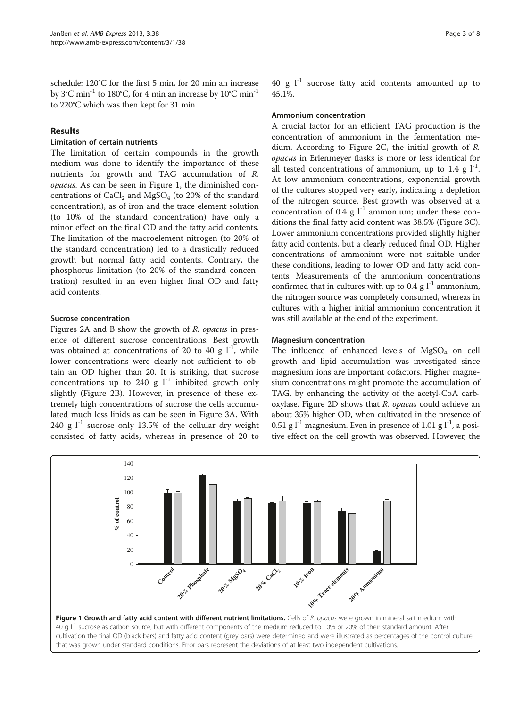<span id="page-2-0"></span>schedule: 120°C for the first 5 min, for 20 min an increase by  $3^{\circ}$ C min<sup>-1</sup> to  $180^{\circ}$ C, for 4 min an increase by  $10^{\circ}$ C min<sup>-1</sup> to 220°C which was then kept for 31 min.

## Results

#### Limitation of certain nutrients

The limitation of certain compounds in the growth medium was done to identify the importance of these nutrients for growth and TAG accumulation of R. opacus. As can be seen in Figure 1, the diminished concentrations of  $CaCl<sub>2</sub>$  and MgSO<sub>4</sub> (to 20% of the standard concentration), as of iron and the trace element solution (to 10% of the standard concentration) have only a minor effect on the final OD and the fatty acid contents. The limitation of the macroelement nitrogen (to 20% of the standard concentration) led to a drastically reduced growth but normal fatty acid contents. Contrary, the phosphorus limitation (to 20% of the standard concentration) resulted in an even higher final OD and fatty acid contents.

## Sucrose concentration

Figures [2](#page-3-0)A and B show the growth of R. opacus in presence of different sucrose concentrations. Best growth was obtained at concentrations of 20 to 40 g  $l^{-1}$ , while lower concentrations were clearly not sufficient to obtain an OD higher than 20. It is striking, that sucrose concentrations up to 240 g  $l^{-1}$  inhibited growth only slightly (Figure [2B](#page-3-0)). However, in presence of these extremely high concentrations of sucrose the cells accumulated much less lipids as can be seen in Figure [3](#page-4-0)A. With 240 g  $l^{-1}$  sucrose only 13.5% of the cellular dry weight consisted of fatty acids, whereas in presence of 20 to 40 g  $1^{-1}$  sucrose fatty acid contents amounted up to 45.1%.

#### Ammonium concentration

A crucial factor for an efficient TAG production is the concentration of ammonium in the fermentation medium. According to Figure [2C](#page-3-0), the initial growth of R. opacus in Erlenmeyer flasks is more or less identical for all tested concentrations of ammonium, up to 1.4 g  $1^{-1}$ . At low ammonium concentrations, exponential growth of the cultures stopped very early, indicating a depletion of the nitrogen source. Best growth was observed at a concentration of 0.4 g  $l^{-1}$  ammonium; under these conditions the final fatty acid content was 38.5% (Figure [3C](#page-4-0)). Lower ammonium concentrations provided slightly higher fatty acid contents, but a clearly reduced final OD. Higher concentrations of ammonium were not suitable under these conditions, leading to lower OD and fatty acid contents. Measurements of the ammonium concentrations confirmed that in cultures with up to 0.4 g  $l^{-1}$  ammonium, the nitrogen source was completely consumed, whereas in cultures with a higher initial ammonium concentration it was still available at the end of the experiment.

#### Magnesium concentration

The influence of enhanced levels of  $MgSO<sub>4</sub>$  on cell growth and lipid accumulation was investigated since magnesium ions are important cofactors. Higher magnesium concentrations might promote the accumulation of TAG, by enhancing the activity of the acetyl-CoA carb-oxylase. Figure [2](#page-3-0)D shows that R. opacus could achieve an about 35% higher OD, when cultivated in the presence of 0.51 g  $l^{-1}$  magnesium. Even in presence of 1.01 g  $l^{-1}$ , a positive effect on the cell growth was observed. However, the

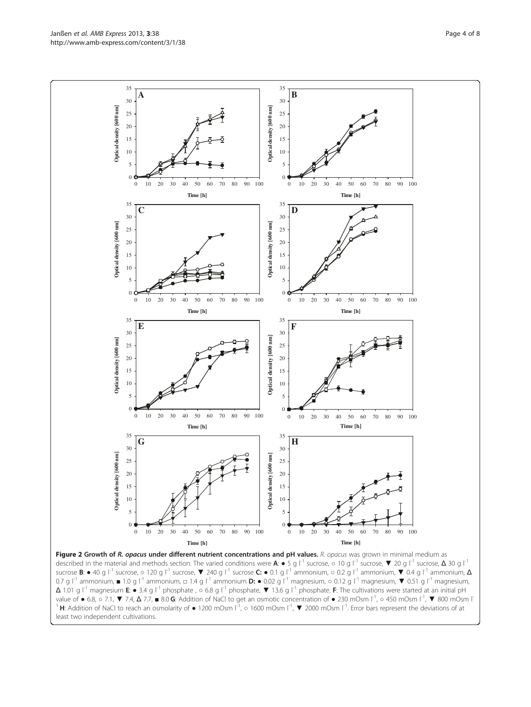<span id="page-3-0"></span>Janßen et al. AMB Express 2013, 3:38 Page 4 of 8 http://www.amb-express.com/content/3/1/38



 $\Delta$  1.01 g |<sup>-1</sup> magnesium **E**: • 3.4 g |<sup>-1</sup> phosphate ,  $\circ$  6.8 g |<sup>-1</sup> phosphate,  $\nabla$  13.6 g |<sup>-1</sup> phosphate. **F**: The cultivations were started at an initial pH value of ● 6.8, ○ 7.1, ▼ 7.4, Δ 7.7, ■ 8.0 G: Addition of NaCl to get an osmotic concentration of ● 230 mOsm l<sup>-1</sup>, ○ 450 mOsm l<sup>-1</sup>, ▼ 800 mOsm l<sup>-1</sup> <sup>1</sup> H: Addition of NaCl to reach an osmolarity of  $\bullet$  1200 mOsm  $\Gamma^1$ ,  $\circ$  1600 mOsm  $\Gamma^1$ ,  $\blacktriangledown$  2000 mOsm  $\Gamma^1$ . Error bars represent the deviations of at least two independent cultivations.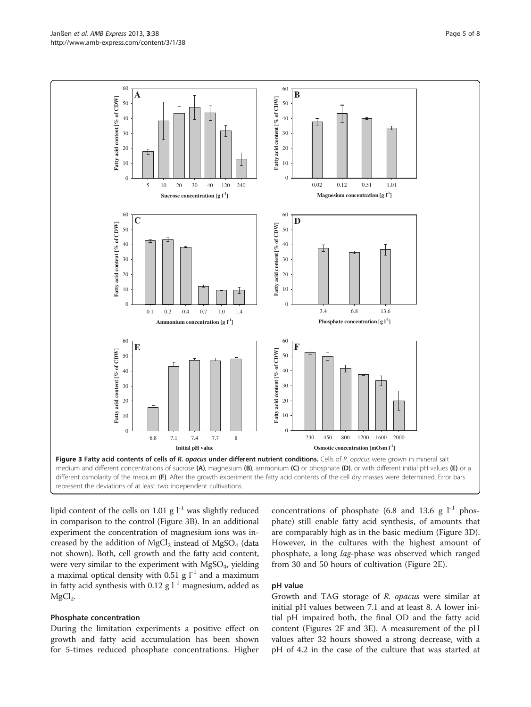<span id="page-4-0"></span>

lipid content of the cells on 1.01 g  $l^{-1}$  was slightly reduced in comparison to the control (Figure 3B). In an additional experiment the concentration of magnesium ions was increased by the addition of  $MgCl<sub>2</sub>$  instead of  $MgSO<sub>4</sub>$  (data not shown). Both, cell growth and the fatty acid content, were very similar to the experiment with  $MgSO_4$ , yielding a maximal optical density with 0.51 g  $l^{-1}$  and a maximum in fatty acid synthesis with 0.12 g  $l<sup>1</sup>$  magnesium, added as  $MgCl<sub>2</sub>$ .

## Phosphate concentration

During the limitation experiments a positive effect on growth and fatty acid accumulation has been shown for 5-times reduced phosphate concentrations. Higher

concentrations of phosphate (6.8 and 13.6 g  $l^{-1}$  phosphate) still enable fatty acid synthesis, of amounts that are comparably high as in the basic medium (Figure 3D). However, in the cultures with the highest amount of phosphate, a long lag-phase was observed which ranged from 30 and 50 hours of cultivation (Figure [2E](#page-3-0)).

#### pH value

Growth and TAG storage of R. opacus were similar at initial pH values between 7.1 and at least 8. A lower initial pH impaired both, the final OD and the fatty acid content (Figures [2F](#page-3-0) and 3E). A measurement of the pH values after 32 hours showed a strong decrease, with a pH of 4.2 in the case of the culture that was started at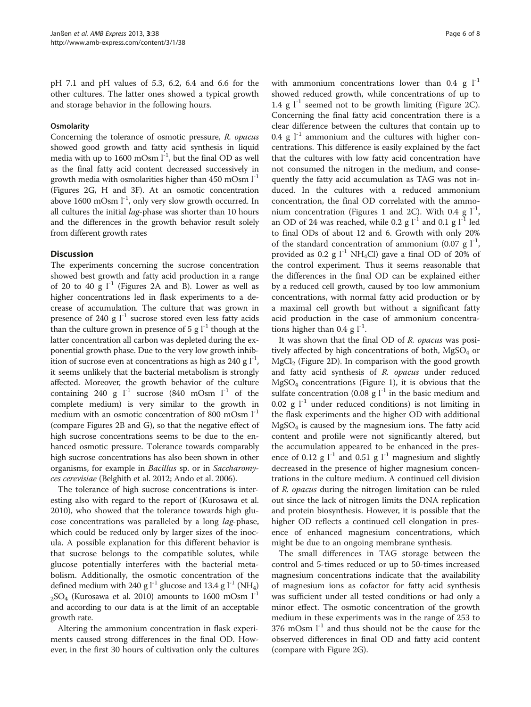pH 7.1 and pH values of 5.3, 6.2, 6.4 and 6.6 for the other cultures. The latter ones showed a typical growth and storage behavior in the following hours.

#### **Osmolarity**

Concerning the tolerance of osmotic pressure, R. opacus showed good growth and fatty acid synthesis in liquid media with up to 1600 mOsm  $l^{-1}$ , but the final OD as well as the final fatty acid content decreased successively in growth media with osmolarities higher than  $450$  mOsm  $1^{-1}$ (Figures [2](#page-3-0)G, H and [3F](#page-4-0)). At an osmotic concentration above 1600 mOsm  $l^{-1}$ , only very slow growth occurred. In all cultures the initial *lag*-phase was shorter than 10 hours and the differences in the growth behavior result solely from different growth rates

#### **Discussion**

The experiments concerning the sucrose concentration showed best growth and fatty acid production in a range of 20 to 40 g  $I<sup>-1</sup>$  (Figures [2A](#page-3-0) and B). Lower as well as higher concentrations led in flask experiments to a decrease of accumulation. The culture that was grown in presence of 240 g  $l^{-1}$  sucrose stored even less fatty acids than the culture grown in presence of  $5 \text{ g} l^{-1}$  though at the latter concentration all carbon was depleted during the exponential growth phase. Due to the very low growth inhibition of sucrose even at concentrations as high as 240 g  $l^{-1}$ , it seems unlikely that the bacterial metabolism is strongly affected. Moreover, the growth behavior of the culture containing 240 g  $l^{-1}$  sucrose (840 mOsm  $l^{-1}$  of the complete medium) is very similar to the growth in medium with an osmotic concentration of 800 mOsm  $l^{-1}$ (compare Figures [2](#page-3-0)B and G), so that the negative effect of high sucrose concentrations seems to be due to the enhanced osmotic pressure. Tolerance towards comparably high sucrose concentrations has also been shown in other organisms, for example in Bacillus sp. or in Saccharomyces cerevisiae (Belghith et al. [2012;](#page-6-0) Ando et al. [2006\)](#page-6-0).

The tolerance of high sucrose concentrations is interesting also with regard to the report of (Kurosawa et al. [2010](#page-6-0)), who showed that the tolerance towards high glucose concentrations was paralleled by a long lag-phase, which could be reduced only by larger sizes of the inocula. A possible explanation for this different behavior is that sucrose belongs to the compatible solutes, while glucose potentially interferes with the bacterial metabolism. Additionally, the osmotic concentration of the defined medium with 240 g  $l^{-1}$  glucose and 13.4 g  $l^{-1}$  (NH<sub>4</sub>)  $2$ SO<sub>4</sub> (Kurosawa et al. [2010\)](#page-6-0) amounts to 1600 mOsm  $1^{-1}$ and according to our data is at the limit of an acceptable growth rate.

Altering the ammonium concentration in flask experiments caused strong differences in the final OD. However, in the first 30 hours of cultivation only the cultures

with ammonium concentrations lower than 0.4 g  $1^{-1}$ showed reduced growth, while concentrations of up to 1.4 g  $l^{-1}$  seemed not to be growth limiting (Figure [2C](#page-3-0)). Concerning the final fatty acid concentration there is a clear difference between the cultures that contain up to 0.4 g  $l^{-1}$  ammonium and the cultures with higher concentrations. This difference is easily explained by the fact that the cultures with low fatty acid concentration have not consumed the nitrogen in the medium, and consequently the fatty acid accumulation as TAG was not induced. In the cultures with a reduced ammonium concentration, the final OD correlated with the ammo-nium concentration (Figures [1](#page-2-0) and [2](#page-3-0)C). With 0.4 g  $1^{-1}$ , an OD of 24 was reached, while 0.2 g  $l^{-1}$  and 0.1 g  $l^{-1}$  led to final ODs of about 12 and 6. Growth with only 20% of the standard concentration of ammonium (0.07 g  $1^{-1}$ , provided as 0.2 g  $l^{-1}$  NH<sub>4</sub>Cl) gave a final OD of 20% of the control experiment. Thus it seems reasonable that the differences in the final OD can be explained either by a reduced cell growth, caused by too low ammonium concentrations, with normal fatty acid production or by a maximal cell growth but without a significant fatty acid production in the case of ammonium concentrations higher than 0.4 g  $l^{-1}$ .

It was shown that the final OD of R. opacus was positively affected by high concentrations of both,  $MgSO<sub>4</sub>$  or  $MgCl<sub>2</sub>$  (Figure [2](#page-3-0)D). In comparison with the good growth and fatty acid synthesis of R. opacus under reduced  $MgSO<sub>4</sub>$  concentrations (Figure [1\)](#page-2-0), it is obvious that the sulfate concentration (0.08 g  $1^{-1}$  in the basic medium and 0.02 g  $l^{-1}$  under reduced conditions) is not limiting in the flask experiments and the higher OD with additional  $MgSO<sub>4</sub>$  is caused by the magnesium ions. The fatty acid content and profile were not significantly altered, but the accumulation appeared to be enhanced in the presence of 0.12 g  $l^{-1}$  and 0.51 g  $l^{-1}$  magnesium and slightly decreased in the presence of higher magnesium concentrations in the culture medium. A continued cell division of R. opacus during the nitrogen limitation can be ruled out since the lack of nitrogen limits the DNA replication and protein biosynthesis. However, it is possible that the higher OD reflects a continued cell elongation in presence of enhanced magnesium concentrations, which might be due to an ongoing membrane synthesis.

The small differences in TAG storage between the control and 5-times reduced or up to 50-times increased magnesium concentrations indicate that the availability of magnesium ions as cofactor for fatty acid synthesis was sufficient under all tested conditions or had only a minor effect. The osmotic concentration of the growth medium in these experiments was in the range of 253 to  $376$  mOsm  $l^{-1}$  and thus should not be the cause for the observed differences in final OD and fatty acid content (compare with Figure [2G](#page-3-0)).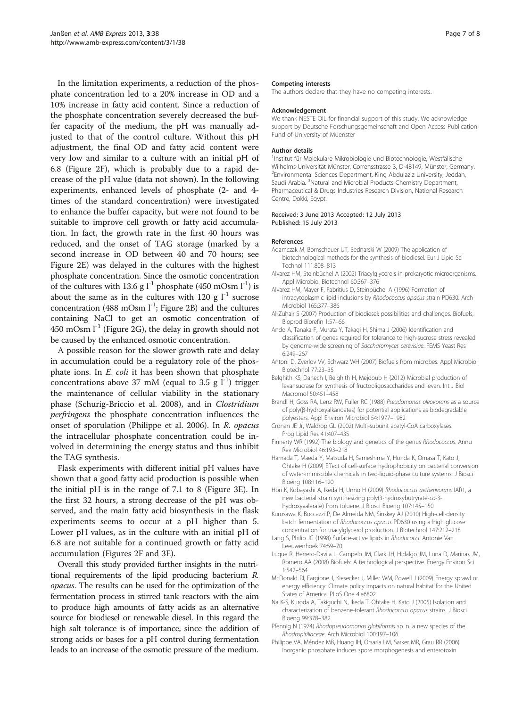<span id="page-6-0"></span>In the limitation experiments, a reduction of the phosphate concentration led to a 20% increase in OD and a 10% increase in fatty acid content. Since a reduction of the phosphate concentration severely decreased the buffer capacity of the medium, the pH was manually adjusted to that of the control culture. Without this pH adjustment, the final OD and fatty acid content were very low and similar to a culture with an initial pH of 6.8 (Figure [2](#page-3-0)F), which is probably due to a rapid decrease of the pH value (data not shown). In the following experiments, enhanced levels of phosphate (2- and 4 times of the standard concentration) were investigated to enhance the buffer capacity, but were not found to be suitable to improve cell growth or fatty acid accumulation. In fact, the growth rate in the first 40 hours was reduced, and the onset of TAG storage (marked by a second increase in OD between 40 and 70 hours; see Figure [2](#page-3-0)E) was delayed in the cultures with the highest phosphate concentration. Since the osmotic concentration of the cultures with 13.6 g  $l^{-1}$  phosphate (450 mOsm  $l^{-1}$ ) is about the same as in the cultures with 120 g  $l^{-1}$  sucrose concentration (488 mOsm  $l^{-1}$ ; Figure [2](#page-3-0)B) and the cultures containing NaCl to get an osmotic concentration of 450 mOsm  $l^{-1}$  (Figure [2G](#page-3-0)), the delay in growth should not be caused by the enhanced osmotic concentration.

A possible reason for the slower growth rate and delay in accumulation could be a regulatory role of the phosphate ions. In E. coli it has been shown that phosphate concentrations above 37 mM (equal to 3.5 g  $1^{-1}$ ) trigger the maintenance of cellular viability in the stationary phase (Schurig-Briccio et al. [2008](#page-7-0)), and in Clostridium perfringens the phosphate concentration influences the onset of sporulation (Philippe et al. 2006). In R. opacus the intracellular phosphate concentration could be involved in determining the energy status and thus inhibit the TAG synthesis.

Flask experiments with different initial pH values have shown that a good fatty acid production is possible when the initial pH is in the range of 7.1 to 8 (Figure [3](#page-4-0)E). In the first 32 hours, a strong decrease of the pH was observed, and the main fatty acid biosynthesis in the flask experiments seems to occur at a pH higher than 5. Lower pH values, as in the culture with an initial pH of 6.8 are not suitable for a continued growth or fatty acid accumulation (Figures [2](#page-3-0)F and [3](#page-4-0)E).

Overall this study provided further insights in the nutritional requirements of the lipid producing bacterium R. opacus. The results can be used for the optimization of the fermentation process in stirred tank reactors with the aim to produce high amounts of fatty acids as an alternative source for biodiesel or renewable diesel. In this regard the high salt tolerance is of importance, since the addition of strong acids or bases for a pH control during fermentation leads to an increase of the osmotic pressure of the medium.

#### Competing interests

The authors declare that they have no competing interests.

#### Acknowledgement

We thank NESTE OIL for financial support of this study. We acknowledge support by Deutsche Forschungsgemeinschaft and Open Access Publication Fund of University of Muenster

#### Author details

1 Institut für Molekulare Mikrobiologie und Biotechnologie, Westfälische Wilhelms-Universität Münster, Corrensstrasse 3, D-48149, Münster, Germany. <sup>2</sup> Environmental Sciences Department, King Abdulaziz University, Jeddah, Saudi Arabia. <sup>3</sup>Natural and Microbial Products Chemistry Department, Pharmaceutical & Drugs Industries Research Division, National Research Centre, Dokki, Egypt.

#### Received: 3 June 2013 Accepted: 12 July 2013 Published: 15 July 2013

#### References

- Adamczak M, Bornscheuer UT, Bednarski W (2009) The application of biotechnological methods for the synthesis of biodiesel. Eur J Lipid Sci Technol 111:808–813
- Alvarez HM, Steinbüchel A (2002) Triacylglycerols in prokaryotic microorganisms. Appl Microbiol Biotechnol 60:367–376
- Alvarez HM, Mayer F, Fabritius D, Steinbüchel A (1996) Formation of intracytoplasmic lipid inclusions by Rhodococcus opacus strain PD630. Arch Microbiol 165:377–386
- Al-Zuhair S (2007) Production of biodiesel: possibilities and challenges. Biofuels, Bioprod Biorefin 1:57–66
- Ando A, Tanaka F, Murata Y, Takagi H, Shima J (2006) Identification and classification of genes required for tolerance to high-sucrose stress revealed by genome-wide screening of Saccharomyces cerevisiae. FEMS Yeast Res 6:249–267
- Antoni D, Zverlov VV, Schwarz WH (2007) Biofuels from microbes. Appl Microbiol Biotechnol 77:23–35
- Belghith KS, Dahech I, Belghith H, Mejdoub H (2012) Microbial production of levansucrase for synthesis of fructooligosaccharides and levan. Int J Biol Macromol 50:451–458
- Brandl H, Goss RA, Lenz RW, Fuller RC (1988) Pseudomonas oleovorans as a source of poly(β-hydroxyalkanoates) for potential applications as biodegradable polyesters. Appl Environ Microbiol 54:1977–1982
- Cronan JE Jr, Waldrop GL (2002) Multi-subunit acetyl-CoA carboxylases. Prog Lipid Res 41:407–435
- Finnerty WR (1992) The biology and genetics of the genus Rhodococcus. Annu Rev Microbiol 46:193–218
- Hamada T, Maeda Y, Matsuda H, Sameshima Y, Honda K, Omasa T, Kato J, Ohtake H (2009) Effect of cell-surface hydrophobicity on bacterial conversion of water-immiscible chemicals in two-liquid-phase culture systems. J Biosci Bioeng 108:116–120
- Hori K, Kobayashi A, Ikeda H, Unno H (2009) Rhodococcus aetherivorans IAR1, a new bacterial strain synthesizing poly(3-hydroxybutryrate-co-3 hydroxyvalerate) from toluene. J Biosci Bioeng 107:145–150
- Kurosawa K, Boccazzi P, De Almeida NM, Sinskey AJ (2010) High-cell-density batch fermentation of Rhodococcus opacus PD630 using a high glucose concentration for triacylglycerol production. J Biotechnol 147:212–218
- Lang S, Philip JC (1998) Surface-active lipids in Rhodococci. Antonie Van Leeuwenhoek 74:59–70
- Luque R, Herrero-Davila L, Campelo JM, Clark JH, Hidalgo JM, Luna D, Marinas JM, Romero AA (2008) Biofuels: A technological perspective. Energy Environ Sci 1:542–564
- McDonald RI, Fargione J, Kiesecker J, Miller WM, Powell J (2009) Energy sprawl or energy efficiency: Climate policy impacts on natural habitat for the United States of America. PLoS One 4:e6802
- Na K-S, Kuroda A, Takiguchi N, Ikeda T, Ohtake H, Kato J (2005) Isolation and characterization of benzene-tolerant Rhodococcus opacus strains. J Biosci Bioeng 99:378–382
- Pfennig N (1974) Rhodopseudomonas globiformis sp. n. a new species of the Rhodospirillaceae. Arch Microbiol 100:197–106
- Philippe VA, Méndez MB, Huang IH, Orsaria LM, Sarker MR, Grau RR (2006) Inorganic phosphate induces spore morphogenesis and enterotoxin